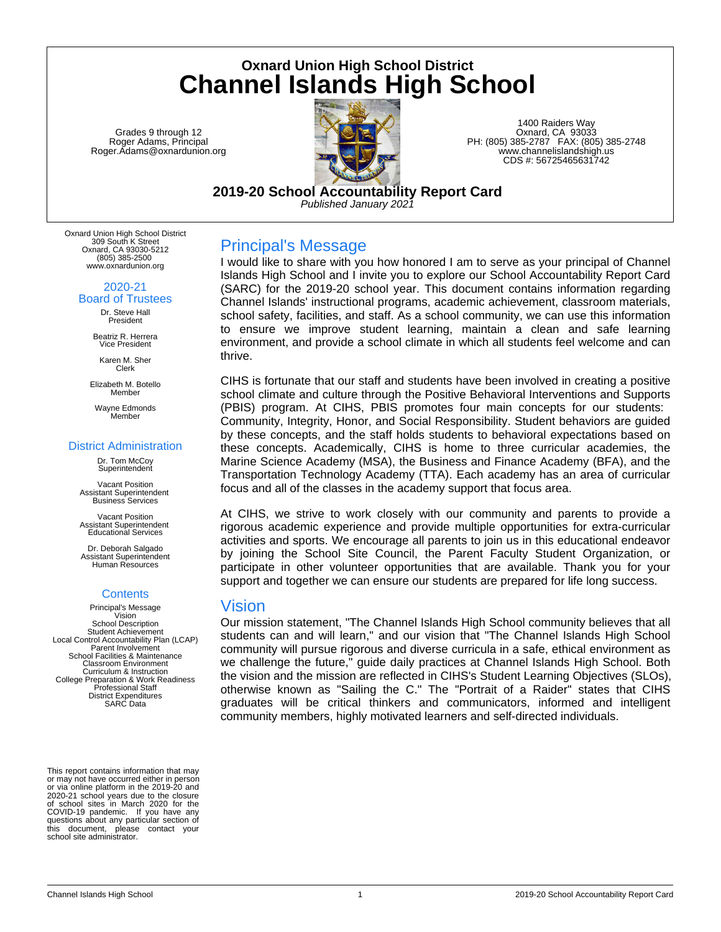**Oxnard Union High School District Channel Islands High School**

Grades 9 through 12 Roger Adams, Principal Roger.Adams@oxnardunion.org



1400 Raiders Way Oxnard, CA 93033 PH: (805) 385-2787 FAX: (805) 385-2748 www.channelislandshigh.us CDS #: 56725465631742

**2019-20 School Accountability Report Card** *Published January 2021*

Oxnard Union High School District 309 South K Street Oxnard, CA 93030-5212 (805) 385-2500 www.oxnardunion.org

> 2020-21 Board of Trustees

Dr. Steve Hall President

Beatriz R. Herrera Vice President

Karen M. Sher Clerk

Elizabeth M. Botello Member

Wayne Edmonds Member

#### District Administration

Dr. Tom McCoy Superintenden

Vacant Position Assistant Superintendent Business Services

Vacant Position Assistant Superintendent Educational Services

Dr. Deborah Salgado Assistant Superintendent Human Resources

# **Contents**

Principal's Message Vision School Description Student Achievement Local Control Accountability Plan (LCAP) Parent Involvement School Facilities & Maintenance Classroom Environment Curriculum & Instruction College Preparation & Work Readiness Professional Staff District Expenditures SARC Data

This report contains information that may or may not have occurred either in person or via online platform in the 2019-20 and 2020-21 school years due to the closure of school sites in March 2020 for the COVID-19 pandemic. If you have any questions about any particular section of this document, please contact your school site administrator.

# Principal's Message

I would like to share with you how honored I am to serve as your principal of Channel Islands High School and I invite you to explore our School Accountability Report Card (SARC) for the 2019-20 school year. This document contains information regarding Channel Islands' instructional programs, academic achievement, classroom materials, school safety, facilities, and staff. As a school community, we can use this information to ensure we improve student learning, maintain a clean and safe learning environment, and provide a school climate in which all students feel welcome and can thrive.

CIHS is fortunate that our staff and students have been involved in creating a positive school climate and culture through the Positive Behavioral Interventions and Supports (PBIS) program. At CIHS, PBIS promotes four main concepts for our students: Community, Integrity, Honor, and Social Responsibility. Student behaviors are guided by these concepts, and the staff holds students to behavioral expectations based on these concepts. Academically, CIHS is home to three curricular academies, the Marine Science Academy (MSA), the Business and Finance Academy (BFA), and the Transportation Technology Academy (TTA). Each academy has an area of curricular focus and all of the classes in the academy support that focus area.

At CIHS, we strive to work closely with our community and parents to provide a rigorous academic experience and provide multiple opportunities for extra-curricular activities and sports. We encourage all parents to join us in this educational endeavor by joining the School Site Council, the Parent Faculty Student Organization, or participate in other volunteer opportunities that are available. Thank you for your support and together we can ensure our students are prepared for life long success.

# Vision

Our mission statement, "The Channel Islands High School community believes that all students can and will learn," and our vision that "The Channel Islands High School community will pursue rigorous and diverse curricula in a safe, ethical environment as we challenge the future," guide daily practices at Channel Islands High School. Both the vision and the mission are reflected in CIHS's Student Learning Objectives (SLOs), otherwise known as "Sailing the C." The "Portrait of a Raider" states that CIHS graduates will be critical thinkers and communicators, informed and intelligent community members, highly motivated learners and self-directed individuals.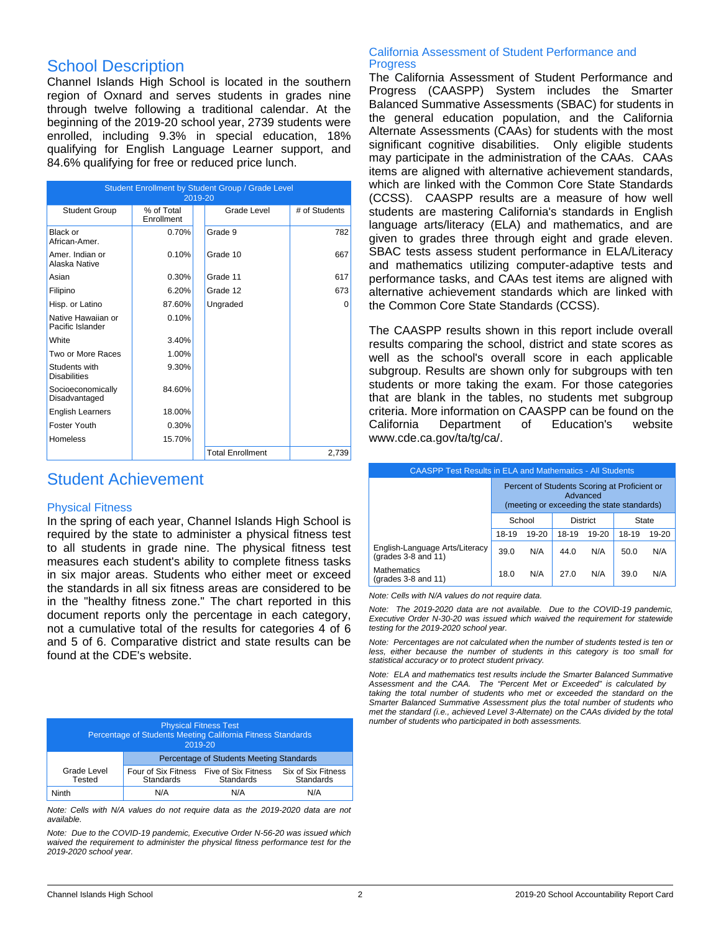# School Description

Channel Islands High School is located in the southern region of Oxnard and serves students in grades nine through twelve following a traditional calendar. At the beginning of the 2019-20 school year, 2739 students were enrolled, including 9.3% in special education, 18% qualifying for English Language Learner support, and 84.6% qualifying for free or reduced price lunch.

| Student Enrollment by Student Group / Grade Level<br>2019-20 |                          |                         |               |  |  |  |
|--------------------------------------------------------------|--------------------------|-------------------------|---------------|--|--|--|
| <b>Student Group</b>                                         | % of Total<br>Enrollment | Grade Level             | # of Students |  |  |  |
| Black or<br>African-Amer.                                    | 0.70%                    | Grade 9                 | 782           |  |  |  |
| Amer. Indian or<br>Alaska Native                             | 0.10%                    | Grade 10                | 667           |  |  |  |
| Asian                                                        | 0.30%                    | Grade 11                | 617           |  |  |  |
| Filipino                                                     | 6.20%                    | Grade 12                | 673           |  |  |  |
| Hisp. or Latino                                              | 87.60%                   | Ungraded                | $\Omega$      |  |  |  |
| Native Hawaiian or<br>Pacific Islander                       | 0.10%                    |                         |               |  |  |  |
| White                                                        | 3.40%                    |                         |               |  |  |  |
| Two or More Races                                            | 1.00%                    |                         |               |  |  |  |
| Students with<br><b>Disabilities</b>                         | 9.30%                    |                         |               |  |  |  |
| Socioeconomically<br>Disadvantaged                           | 84.60%                   |                         |               |  |  |  |
| <b>English Learners</b>                                      | 18.00%                   |                         |               |  |  |  |
| Foster Youth                                                 | 0.30%                    |                         |               |  |  |  |
| <b>Homeless</b>                                              | 15.70%                   |                         |               |  |  |  |
|                                                              |                          | <b>Total Enrollment</b> | 2,739         |  |  |  |

# Student Achievement

### Physical Fitness

In the spring of each year, Channel Islands High School is required by the state to administer a physical fitness test to all students in grade nine. The physical fitness test measures each student's ability to complete fitness tasks in six major areas. Students who either meet or exceed the standards in all six fitness areas are considered to be in the "healthy fitness zone." The chart reported in this document reports only the percentage in each category, not a cumulative total of the results for categories 4 of 6 and 5 of 6. Comparative district and state results can be found at the CDE's website.

| <b>Physical Fitness Test</b><br>Percentage of Students Meeting California Fitness Standards<br>2019-20 |                                          |                                  |                                 |  |  |
|--------------------------------------------------------------------------------------------------------|------------------------------------------|----------------------------------|---------------------------------|--|--|
|                                                                                                        | Percentage of Students Meeting Standards |                                  |                                 |  |  |
| Grade Level<br>Tested                                                                                  | Four of Six Fitness<br><b>Standards</b>  | Five of Six Fitness<br>Standards | Six of Six Fitness<br>Standards |  |  |
| Ninth                                                                                                  | N/A                                      | N/A                              | N/A                             |  |  |

*Note: Cells with N/A values do not require data as the 2019-2020 data are not available.*

*Note: Due to the COVID-19 pandemic, Executive Order N-56-20 was issued which waived the requirement to administer the physical fitness performance test for the 2019-2020 school year.*

#### California Assessment of Student Performance and **Progress**

The California Assessment of Student Performance and Progress (CAASPP) System includes the Smarter Balanced Summative Assessments (SBAC) for students in the general education population, and the California Alternate Assessments (CAAs) for students with the most significant cognitive disabilities. Only eligible students may participate in the administration of the CAAs. CAAs items are aligned with alternative achievement standards, which are linked with the Common Core State Standards (CCSS). CAASPP results are a measure of how well students are mastering California's standards in English language arts/literacy (ELA) and mathematics, and are given to grades three through eight and grade eleven. SBAC tests assess student performance in ELA/Literacy and mathematics utilizing computer-adaptive tests and performance tasks, and CAAs test items are aligned with alternative achievement standards which are linked with the Common Core State Standards (CCSS).

The CAASPP results shown in this report include overall results comparing the school, district and state scores as well as the school's overall score in each applicable subgroup. Results are shown only for subgroups with ten students or more taking the exam. For those categories that are blank in the tables, no students met subgroup criteria. More information on CAASPP can be found on the California Department of Education's website www.cde.ca.gov/ta/tg/ca/.

| <b>CAASPP Test Results in ELA and Mathematics - All Students</b> |                                                                                                        |           |       |       |       |       |  |  |
|------------------------------------------------------------------|--------------------------------------------------------------------------------------------------------|-----------|-------|-------|-------|-------|--|--|
|                                                                  | Percent of Students Scoring at Proficient or<br>Advanced<br>(meeting or exceeding the state standards) |           |       |       |       |       |  |  |
|                                                                  | School<br><b>District</b><br><b>State</b>                                                              |           |       |       |       |       |  |  |
|                                                                  | 18-19                                                                                                  | $19 - 20$ | 18-19 | 19-20 | 18-19 | 19-20 |  |  |
| English-Language Arts/Literacy<br>(grades $3-8$ and $11$ )       | 39.0                                                                                                   | N/A       | 44.0  | N/A   | 50.0  | N/A   |  |  |
| <b>Mathematics</b><br>(grades $3-8$ and $11$ )                   | 18.0                                                                                                   | N/A       | 27.0  | N/A   | 39.0  | N/A   |  |  |

*Note: Cells with N/A values do not require data.*

*Note: The 2019-2020 data are not available. Due to the COVID-19 pandemic, Executive Order N-30-20 was issued which waived the requirement for statewide testing for the 2019-2020 school year.*

*Note: Percentages are not calculated when the number of students tested is ten or less, either because the number of students in this category is too small for statistical accuracy or to protect student privacy.*

*Note: ELA and mathematics test results include the Smarter Balanced Summative Assessment and the CAA. The "Percent Met or Exceeded" is calculated by taking the total number of students who met or exceeded the standard on the Smarter Balanced Summative Assessment plus the total number of students who met the standard (i.e., achieved Level 3-Alternate) on the CAAs divided by the total number of students who participated in both assessments.*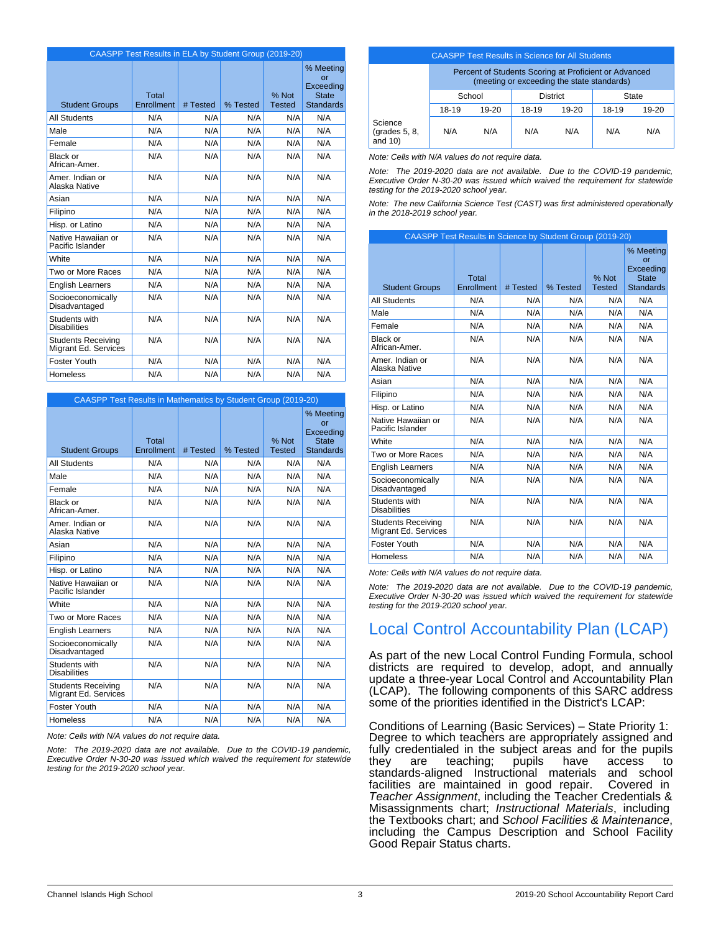|                                                   | CAASPP Test Results in ELA by Student Group (2019-20) |          |          |                        |                                                                         |
|---------------------------------------------------|-------------------------------------------------------|----------|----------|------------------------|-------------------------------------------------------------------------|
| <b>Student Groups</b>                             | Total<br>Enrollment                                   | # Tested | % Tested | % Not<br><b>Tested</b> | % Meeting<br><b>or</b><br>Exceeding<br><b>State</b><br><b>Standards</b> |
| <b>All Students</b>                               | N/A                                                   | N/A      | N/A      | N/A                    | N/A                                                                     |
| Male                                              | N/A                                                   | N/A      | N/A      | N/A                    | N/A                                                                     |
| Female                                            | N/A                                                   | N/A      | N/A      | N/A                    | N/A                                                                     |
| Black or<br>African-Amer.                         | N/A                                                   | N/A      | N/A      | N/A                    | N/A                                                                     |
| Amer. Indian or<br>Alaska Native                  | N/A                                                   | N/A      | N/A      | N/A                    | N/A                                                                     |
| Asian                                             | N/A                                                   | N/A      | N/A      | N/A                    | N/A                                                                     |
| Filipino                                          | N/A                                                   | N/A      | N/A      | N/A                    | N/A                                                                     |
| Hisp. or Latino                                   | N/A                                                   | N/A      | N/A      | N/A                    | N/A                                                                     |
| Native Hawaiian or<br>Pacific Islander            | N/A                                                   | N/A      | N/A      | N/A                    | N/A                                                                     |
| <b>White</b>                                      | N/A                                                   | N/A      | N/A      | N/A                    | N/A                                                                     |
| Two or More Races                                 | N/A                                                   | N/A      | N/A      | N/A                    | N/A                                                                     |
| <b>English Learners</b>                           | N/A                                                   | N/A      | N/A      | N/A                    | N/A                                                                     |
| Socioeconomically<br>Disadvantaged                | N/A                                                   | N/A      | N/A      | N/A                    | N/A                                                                     |
| Students with<br><b>Disabilities</b>              | N/A                                                   | N/A      | N/A      | N/A                    | N/A                                                                     |
| <b>Students Receiving</b><br>Migrant Ed. Services | N/A                                                   | N/A      | N/A      | N/A                    | N/A                                                                     |
| Foster Youth                                      | N/A                                                   | N/A      | N/A      | N/A                    | N/A                                                                     |
| Homeless                                          | N/A                                                   | N/A      | N/A      | N/A                    | N/A                                                                     |

| <b>CAASPP Test Results in Mathematics by Student Group (2019-20)</b> |                     |          |          |                        |                                                                  |  |  |
|----------------------------------------------------------------------|---------------------|----------|----------|------------------------|------------------------------------------------------------------|--|--|
| <b>Student Groups</b>                                                | Total<br>Enrollment | # Tested | % Tested | % Not<br><b>Tested</b> | % Meeting<br>or<br>Exceeding<br><b>State</b><br><b>Standards</b> |  |  |
| All Students                                                         | N/A                 | N/A      | N/A      | N/A                    | N/A                                                              |  |  |
| Male                                                                 | N/A                 | N/A      | N/A      | N/A                    | N/A                                                              |  |  |
| Female                                                               | N/A                 | N/A      | N/A      | N/A                    | N/A                                                              |  |  |
| Black or<br>African-Amer.                                            | N/A                 | N/A      | N/A      | N/A                    | N/A                                                              |  |  |
| Amer, Indian or<br>Alaska Native                                     | N/A                 | N/A      | N/A      | N/A                    | N/A                                                              |  |  |
| Asian                                                                | N/A                 | N/A      | N/A      | N/A                    | N/A                                                              |  |  |
| Filipino                                                             | N/A                 | N/A      | N/A      | N/A                    | N/A                                                              |  |  |
| Hisp. or Latino                                                      | N/A                 | N/A      | N/A      | N/A                    | N/A                                                              |  |  |
| Native Hawaiian or<br>Pacific Islander                               | N/A                 | N/A      | N/A      | N/A                    | N/A                                                              |  |  |
| White                                                                | N/A                 | N/A      | N/A      | N/A                    | N/A                                                              |  |  |
| Two or More Races                                                    | N/A                 | N/A      | N/A      | N/A                    | N/A                                                              |  |  |
| <b>English Learners</b>                                              | N/A                 | N/A      | N/A      | N/A                    | N/A                                                              |  |  |
| Socioeconomically<br>Disadvantaged                                   | N/A                 | N/A      | N/A      | N/A                    | N/A                                                              |  |  |
| Students with<br><b>Disabilities</b>                                 | N/A                 | N/A      | N/A      | N/A                    | N/A                                                              |  |  |
| <b>Students Receiving</b><br>Migrant Ed. Services                    | N/A                 | N/A      | N/A      | N/A                    | N/A                                                              |  |  |
| Foster Youth                                                         | N/A                 | N/A      | N/A      | N/A                    | N/A                                                              |  |  |
| <b>Homeless</b>                                                      | N/A                 | N/A      | N/A      | N/A                    | N/A                                                              |  |  |

*Note: Cells with N/A values do not require data.*

*Note: The 2019-2020 data are not available. Due to the COVID-19 pandemic, Executive Order N-30-20 was issued which waived the requirement for statewide testing for the 2019-2020 school year.*

# CAASPP Test Results in Science for All Students

|                                           | Percent of Students Scoring at Proficient or Advanced<br>(meeting or exceeding the state standards) |         |       |           |       |           |  |
|-------------------------------------------|-----------------------------------------------------------------------------------------------------|---------|-------|-----------|-------|-----------|--|
|                                           | School                                                                                              |         | State |           |       |           |  |
|                                           | 18-19                                                                                               | $19-20$ | 18-19 | $19 - 20$ | 18-19 | $19 - 20$ |  |
| Science<br>(grades $5, 8$ ,<br>and $10$ ) | N/A                                                                                                 | N/A     | N/A   | N/A       | N/A   | N/A       |  |

*Note: Cells with N/A values do not require data.*

*Note: The 2019-2020 data are not available. Due to the COVID-19 pandemic, Executive Order N-30-20 was issued which waived the requirement for statewide testing for the 2019-2020 school year.*

*Note: The new California Science Test (CAST) was first administered operationally in the 2018-2019 school year.*

| CAASPP Test Results in Science by Student Group (2019-20) |                            |          |          |                        |                                                                  |  |  |
|-----------------------------------------------------------|----------------------------|----------|----------|------------------------|------------------------------------------------------------------|--|--|
| <b>Student Groups</b>                                     | <b>Total</b><br>Enrollment | # Tested | % Tested | % Not<br><b>Tested</b> | % Meeting<br>or<br>Exceeding<br><b>State</b><br><b>Standards</b> |  |  |
| <b>All Students</b>                                       | N/A                        | N/A      | N/A      | N/A                    | N/A                                                              |  |  |
| Male                                                      | N/A                        | N/A      | N/A      | N/A                    | N/A                                                              |  |  |
| Female                                                    | N/A                        | N/A      | N/A      | N/A                    | N/A                                                              |  |  |
| Black or<br>African-Amer.                                 | N/A                        | N/A      | N/A      | N/A                    | N/A                                                              |  |  |
| Amer, Indian or<br>Alaska Native                          | N/A                        | N/A      | N/A      | N/A                    | N/A                                                              |  |  |
| Asian                                                     | N/A                        | N/A      | N/A      | N/A                    | N/A                                                              |  |  |
| Filipino                                                  | N/A                        | N/A      | N/A      | N/A                    | N/A                                                              |  |  |
| Hisp. or Latino                                           | N/A                        | N/A      | N/A      | N/A                    | N/A                                                              |  |  |
| Native Hawaiian or<br>Pacific Islander                    | N/A                        | N/A      | N/A      | N/A                    | N/A                                                              |  |  |
| White                                                     | N/A                        | N/A      | N/A      | N/A                    | N/A                                                              |  |  |
| Two or More Races                                         | N/A                        | N/A      | N/A      | N/A                    | N/A                                                              |  |  |
| English Learners                                          | N/A                        | N/A      | N/A      | N/A                    | N/A                                                              |  |  |
| Socioeconomically<br>Disadvantaged                        | N/A                        | N/A      | N/A      | N/A                    | N/A                                                              |  |  |
| Students with<br><b>Disabilities</b>                      | N/A                        | N/A      | N/A      | N/A                    | N/A                                                              |  |  |
| <b>Students Receiving</b><br>Migrant Ed. Services         | N/A                        | N/A      | N/A      | N/A                    | N/A                                                              |  |  |
| Foster Youth                                              | N/A                        | N/A      | N/A      | N/A                    | N/A                                                              |  |  |
| <b>Homeless</b>                                           | N/A                        | N/A      | N/A      | N/A                    | N/A                                                              |  |  |

*Note: Cells with N/A values do not require data.*

*Note: The 2019-2020 data are not available. Due to the COVID-19 pandemic, Executive Order N-30-20 was issued which waived the requirement for statewide testing for the 2019-2020 school year.*

# Local Control Accountability Plan (LCAP)

As part of the new Local Control Funding Formula, school districts are required to develop, adopt, and annually update a three-year Local Control and Accountability Plan (LCAP). The following components of this SARC address some of the priorities identified in the District's LCAP:

Conditions of Learning (Basic Services) – State Priority 1: Degree to which teachers are appropriately assigned and fully credentialed in the subject areas and for the pupils they are teaching; pupils have access to standards-aligned Instructional materials and school facilities are maintained in good repair. Covered in *Teacher Assignment*, including the Teacher Credentials & Misassignments chart; *Instructional Materials*, including the Textbooks chart; and *School Facilities & Maintenance*, including the Campus Description and School Facility Good Repair Status charts.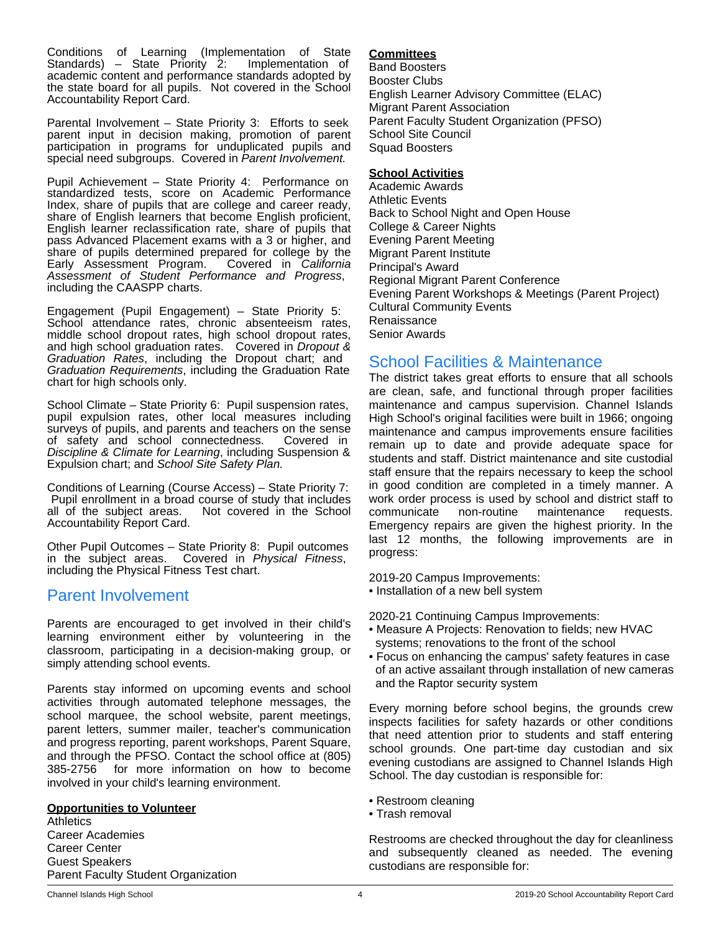Conditions of Learning (Implementation of State Standards) – State Priority 2: academic content and performance standards adopted by the state board for all pupils. Not covered in the School Accountability Report Card.

Parental Involvement – State Priority 3: Efforts to seek parent input in decision making, promotion of parent participation in programs for unduplicated pupils and special need subgroups. Covered in *Parent Involvement.*

Pupil Achievement – State Priority 4: Performance on standardized tests, score on Academic Performance Index, share of pupils that are college and career ready, share of English learners that become English proficient, English learner reclassification rate, share of pupils that pass Advanced Placement exams with a 3 or higher, and share of pupils determined prepared for college by the Early Assessment Program. Covered in California Early Assessment Program. *Assessment of Student Performance and Progress*, including the CAASPP charts.

Engagement (Pupil Engagement) – State Priority 5: School attendance rates, chronic absenteeism rates, middle school dropout rates, high school dropout rates, and high school graduation rates. Covered in *Dropout & Graduation Rates*, including the Dropout chart; and *Graduation Requirements*, including the Graduation Rate chart for high schools only.

School Climate – State Priority 6: Pupil suspension rates, pupil expulsion rates, other local measures including surveys of pupils, and parents and teachers on the sense of safety and school connectedness. Covered in *Discipline & Climate for Learning*, including Suspension & Expulsion chart; and *School Site Safety Plan.*

Conditions of Learning (Course Access) – State Priority 7: Pupil enrollment in a broad course of study that includes<br>all of the subject areas. Not covered in the School Not covered in the School Accountability Report Card.

Other Pupil Outcomes – State Priority 8: Pupil outcomes in the subject areas. Covered in *Physical Fitness*, including the Physical Fitness Test chart.

# Parent Involvement

Parents are encouraged to get involved in their child's learning environment either by volunteering in the classroom, participating in a decision-making group, or simply attending school events.

Parents stay informed on upcoming events and school activities through automated telephone messages, the school marquee, the school website, parent meetings, parent letters, summer mailer, teacher's communication and progress reporting, parent workshops, Parent Square, and through the PFSO. Contact the school office at (805) 385-2756 for more information on how to become involved in your child's learning environment.

# **Opportunities to Volunteer**

**Athletics** Career Academies Career Center Guest Speakers Parent Faculty Student Organization

## **Committees**

Band Boosters Booster Clubs English Learner Advisory Committee (ELAC) Migrant Parent Association Parent Faculty Student Organization (PFSO) School Site Council Squad Boosters

## **School Activities**

Academic Awards Athletic Events Back to School Night and Open House College & Career Nights Evening Parent Meeting Migrant Parent Institute Principal's Award Regional Migrant Parent Conference Evening Parent Workshops & Meetings (Parent Project) Cultural Community Events Renaissance Senior Awards

# School Facilities & Maintenance

The district takes great efforts to ensure that all schools are clean, safe, and functional through proper facilities maintenance and campus supervision. Channel Islands High School's original facilities were built in 1966; ongoing maintenance and campus improvements ensure facilities remain up to date and provide adequate space for students and staff. District maintenance and site custodial staff ensure that the repairs necessary to keep the school in good condition are completed in a timely manner. A work order process is used by school and district staff to communicate non-routine maintenance requests. Emergency repairs are given the highest priority. In the last 12 months, the following improvements are in progress:

2019-20 Campus Improvements:

• Installation of a new bell system

2020-21 Continuing Campus Improvements:

- Measure A Projects: Renovation to fields; new HVAC systems; renovations to the front of the school
- Focus on enhancing the campus' safety features in case of an active assailant through installation of new cameras and the Raptor security system

Every morning before school begins, the grounds crew inspects facilities for safety hazards or other conditions that need attention prior to students and staff entering school grounds. One part-time day custodian and six evening custodians are assigned to Channel Islands High School. The day custodian is responsible for:

- Restroom cleaning
- Trash removal

Restrooms are checked throughout the day for cleanliness and subsequently cleaned as needed. The evening custodians are responsible for: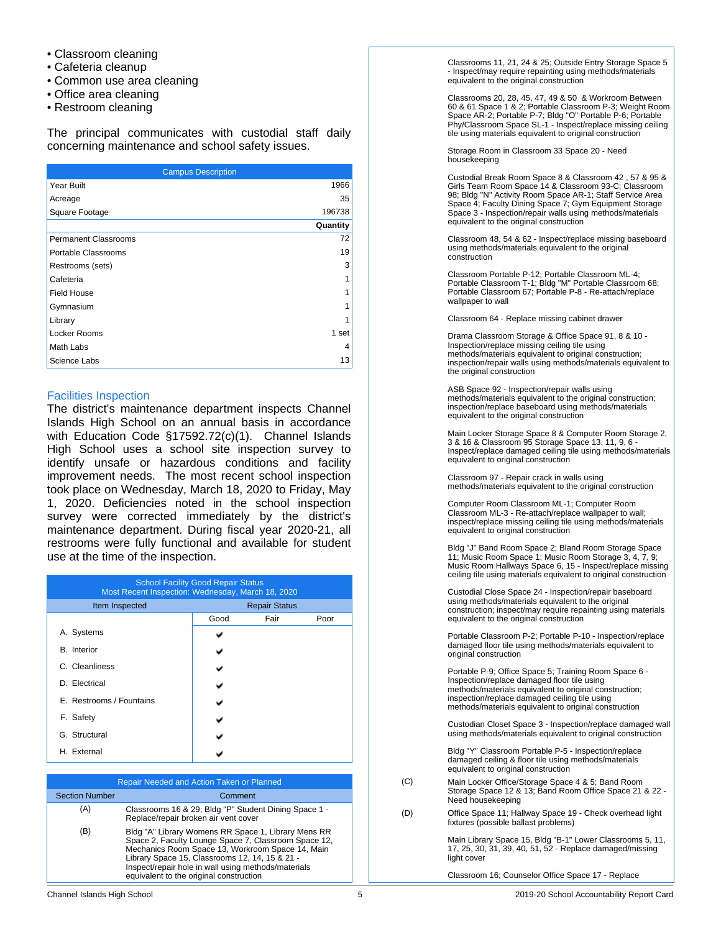- Classroom cleaning
- Cafeteria cleanup
- Common use area cleaning
- Office area cleaning
- Restroom cleaning

The principal communicates with custodial staff daily concerning maintenance and school safety issues.

| <b>Campus Description</b>   |          |  |  |  |
|-----------------------------|----------|--|--|--|
| Year Built                  | 1966     |  |  |  |
| Acreage                     | 35       |  |  |  |
| Square Footage              | 196738   |  |  |  |
|                             | Quantity |  |  |  |
| <b>Permanent Classrooms</b> | 72       |  |  |  |
| Portable Classrooms         | 19       |  |  |  |
| Restrooms (sets)            | 3        |  |  |  |
| Cafeteria                   |          |  |  |  |
| <b>Field House</b>          |          |  |  |  |
| Gymnasium                   |          |  |  |  |
| Library                     |          |  |  |  |
| Locker Rooms                | 1 set    |  |  |  |
| Math Labs                   | 4        |  |  |  |
| Science Labs                | 13       |  |  |  |

## Facilities Inspection

The district's maintenance department inspects Channel Islands High School on an annual basis in accordance with Education Code §17592.72(c)(1). Channel Islands High School uses a school site inspection survey to identify unsafe or hazardous conditions and facility improvement needs. The most recent school inspection took place on Wednesday, March 18, 2020 to Friday, May 1, 2020. Deficiencies noted in the school inspection survey were corrected immediately by the district's maintenance department. During fiscal year 2020-21, all restrooms were fully functional and available for student use at the time of the inspection.

| <b>School Facility Good Repair Status</b><br>Most Recent Inspection: Wednesday, March 18, 2020 |                      |      |      |  |  |  |
|------------------------------------------------------------------------------------------------|----------------------|------|------|--|--|--|
| Item Inspected                                                                                 | <b>Repair Status</b> |      |      |  |  |  |
|                                                                                                | Good                 | Fair | Poor |  |  |  |
| A. Systems                                                                                     |                      |      |      |  |  |  |
| <b>B.</b> Interior                                                                             |                      |      |      |  |  |  |
| C. Cleanliness                                                                                 |                      |      |      |  |  |  |
| D. Electrical                                                                                  |                      |      |      |  |  |  |
| E. Restrooms / Fountains                                                                       |                      |      |      |  |  |  |
| F. Safety                                                                                      |                      |      |      |  |  |  |
| G. Structural                                                                                  |                      |      |      |  |  |  |
| H. External                                                                                    |                      |      |      |  |  |  |

| Repair Needed and Action Taken or Planned |                                                                                                                                                                                                                                                                                                                     |  |  |  |
|-------------------------------------------|---------------------------------------------------------------------------------------------------------------------------------------------------------------------------------------------------------------------------------------------------------------------------------------------------------------------|--|--|--|
| <b>Section Number</b>                     | Comment                                                                                                                                                                                                                                                                                                             |  |  |  |
| (A)                                       | Classrooms 16 & 29; Bldg "P" Student Dining Space 1 -<br>Replace/repair broken air vent cover                                                                                                                                                                                                                       |  |  |  |
| (B)                                       | Bldg "A" Library Womens RR Space 1, Library Mens RR<br>Space 2, Faculty Lounge Space 7, Classroom Space 12,<br>Mechanics Room Space 13, Workroom Space 14, Main<br>Library Space 15, Classrooms 12, 14, 15 & 21 -<br>Inspect/repair hole in wall using methods/materials<br>equivalent to the original construction |  |  |  |

Classrooms 11, 21, 24 & 25; Outside Entry Storage Space 5 - Inspect/may require repainting using methods/materials equivalent to the original construction

Classrooms 20, 28, 45, 47, 49 & 50 & Workroom Between 60 & 61 Space 1 & 2; Portable Classroom P-3; Weight Room Space AR-2; Portable P-7; Bldg "O" Portable P-6; Portable Phy/Classroom Space SL-1 - Inspect/replace missing ceiling tile using materials equivalent to original construction

Storage Room in Classroom 33 Space 20 - Need housekeeping

Custodial Break Room Space 8 & Classroom 42 , 57 & 95 & Girls Team Room Space 14 & Classroom 93-C; Classroom 98; Bldg "N" Activity Room Space AR-1; Staff Service Area Space 4; Faculty Dining Space 7; Gym Equipment Storage Space 3 - Inspection/repair walls using methods/materials equivalent to the original construction

Classroom 48, 54 & 62 - Inspect/replace missing baseboard using methods/materials equivalent to the original construction

Classroom Portable P-12; Portable Classroom ML-4; Portable Classroom T-1; Bldg "M" Portable Classroom 68; Portable Classroom 67; Portable P-8 - Re-attach/replace wallpaper to wall

Classroom 64 - Replace missing cabinet drawer

Drama Classroom Storage & Office Space 91, 8 & 10 - Inspection/replace missing ceiling tile using methods/materials equivalent to original construction; inspection/repair walls using methods/materials equivalent to the original construction

ASB Space 92 - Inspection/repair walls using methods/materials equivalent to the original construction; inspection/replace baseboard using methods/materials equivalent to the original construction

Main Locker Storage Space 8 & Computer Room Storage 2, 3 & 16 & Classroom 95 Storage Space 13, 11, 9, 6 - Inspect/replace damaged ceiling tile using methods/materials equivalent to original construction

Classroom 97 - Repair crack in walls using methods/materials equivalent to the original construction

Computer Room Classroom ML-1; Computer Room Classroom ML-3 - Re-attach/replace wallpaper to wall; inspect/replace missing ceiling tile using methods/materials equivalent to original construction

Bldg "J" Band Room Space 2; Bland Room Storage Space 11; Music Room Space 1; Music Room Storage 3, 4, 7, 9; Music Room Hallways Space 6, 15 - Inspect/replace missing ceiling tile using materials equivalent to original construction

Custodial Close Space 24 - Inspection/repair baseboard using methods/materials equivalent to the original construction; inspect/may require repainting using materials equivalent to the original construction

Portable Classroom P-2; Portable P-10 - Inspection/replace damaged floor tile using methods/materials equivalent to original construction

Portable P-9; Office Space 5; Training Room Space 6 - Inspection/replace damaged floor tile using methods/materials equivalent to original construction; inspection/replace damaged ceiling tile using methods/materials equivalent to original construction

Custodian Closet Space 3 - Inspection/replace damaged wall using methods/materials equivalent to original construction

Bldg "Y" Classroom Portable P-5 - Inspection/replace damaged ceiling & floor tile using methods/materials equivalent to original construction

- (C) Main Locker Office/Storage Space 4 & 5; Band Room Storage Space 12 & 13; Band Room Office Space 21 & 22 - Need housekeeping
- (D) Office Space 11; Hallway Space 19 Check overhead light fixtures (possible ballast problems)

Main Library Space 15, Bldg "B-1" Lower Classrooms 5, 11, 17, 25, 30, 31, 39, 40, 51, 52 - Replace damaged/missing light cover

Classroom 16; Counselor Office Space 17 - Replace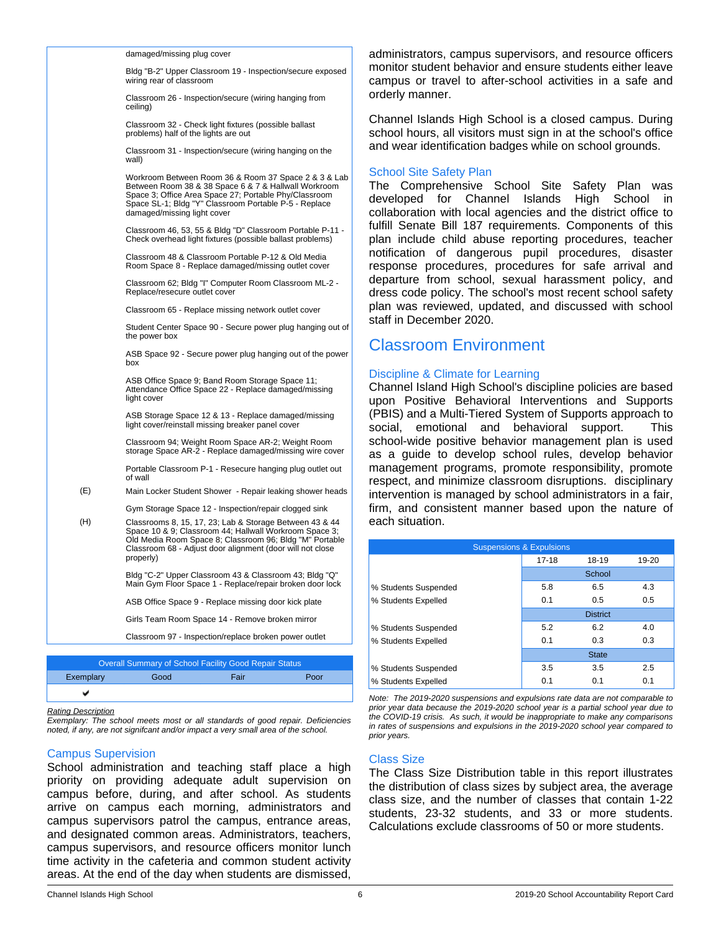|     | damaged/missing plug cover<br>Bldg "B-2" Upper Classroom 19 - Inspection/secure exposed                                                                                                                                                                       | administrators, campus supervisors, and resource officers<br>monitor student behavior and ensure students either leave                                          |                                                  |                 |                             |  |
|-----|---------------------------------------------------------------------------------------------------------------------------------------------------------------------------------------------------------------------------------------------------------------|-----------------------------------------------------------------------------------------------------------------------------------------------------------------|--------------------------------------------------|-----------------|-----------------------------|--|
|     | wiring rear of classroom                                                                                                                                                                                                                                      | campus or travel to after-school activities in a safe and                                                                                                       |                                                  |                 |                             |  |
|     | Classroom 26 - Inspection/secure (wiring hanging from<br>ceiling)                                                                                                                                                                                             | orderly manner.                                                                                                                                                 |                                                  |                 |                             |  |
|     | Classroom 32 - Check light fixtures (possible ballast<br>problems) half of the lights are out                                                                                                                                                                 | Channel Islands High School is a closed campus. During<br>school hours, all visitors must sign in at the school's office                                        |                                                  |                 |                             |  |
|     | Classroom 31 - Inspection/secure (wiring hanging on the<br>wall)                                                                                                                                                                                              | and wear identification badges while on school grounds.                                                                                                         |                                                  |                 |                             |  |
|     | Workroom Between Room 36 & Room 37 Space 2 & 3 & Lab<br>Between Room 38 & 38 Space 6 & 7 & Hallwall Workroom<br>Space 3; Office Area Space 27; Portable Phy/Classroom<br>Space SL-1; Bldg "Y" Classroom Portable P-5 - Replace<br>damaged/missing light cover | <b>School Site Safety Plan</b><br>The Comprehensive School Site Safety<br>developed for Channel<br>collaboration with local agencies and the district office to | Islands                                          | High            | Plan<br>was<br>School<br>in |  |
|     | Classroom 46, 53, 55 & Bldg "D" Classroom Portable P-11 -<br>Check overhead light fixtures (possible ballast problems)                                                                                                                                        | fulfill Senate Bill 187 requirements. Components of this<br>plan include child abuse reporting procedures, teacher                                              |                                                  |                 |                             |  |
|     | Classroom 48 & Classroom Portable P-12 & Old Media<br>Room Space 8 - Replace damaged/missing outlet cover                                                                                                                                                     | notification of dangerous pupil procedures, disaster<br>response procedures, procedures for safe arrival and                                                    |                                                  |                 |                             |  |
|     | Classroom 62; Bldg "I" Computer Room Classroom ML-2 -<br>Replace/resecure outlet cover                                                                                                                                                                        | departure from school, sexual harassment policy, and<br>dress code policy. The school's most recent school safety                                               |                                                  |                 |                             |  |
|     | Classroom 65 - Replace missing network outlet cover                                                                                                                                                                                                           | plan was reviewed, updated, and discussed with school<br>staff in December 2020.                                                                                |                                                  |                 |                             |  |
|     | Student Center Space 90 - Secure power plug hanging out of<br>the power box                                                                                                                                                                                   | <b>Classroom Environment</b>                                                                                                                                    |                                                  |                 |                             |  |
|     | ASB Space 92 - Secure power plug hanging out of the power<br>box                                                                                                                                                                                              |                                                                                                                                                                 |                                                  |                 |                             |  |
|     | ASB Office Space 9; Band Room Storage Space 11;<br>Attendance Office Space 22 - Replace damaged/missing<br>light cover                                                                                                                                        | Discipline & Climate for Learning<br>Channel Island High School's discipline policies are based<br>upon Positive Behavioral Interventions and Supports          |                                                  |                 |                             |  |
|     | ASB Storage Space 12 & 13 - Replace damaged/missing<br>light cover/reinstall missing breaker panel cover                                                                                                                                                      | (PBIS) and a Multi-Tiered System of Supports approach to<br>social, emotional and behavioral support.                                                           |                                                  |                 | This                        |  |
|     | Classroom 94; Weight Room Space AR-2; Weight Room<br>storage Space AR-2 - Replace damaged/missing wire cover                                                                                                                                                  | school-wide positive behavior management plan is used<br>as a guide to develop school rules, develop behavior                                                   |                                                  |                 |                             |  |
|     | Portable Classroom P-1 - Resecure hanging plug outlet out<br>of wall                                                                                                                                                                                          | management programs, promote responsibility, promote<br>respect, and minimize classroom disruptions. disciplinary                                               |                                                  |                 |                             |  |
| (E) | Main Locker Student Shower - Repair leaking shower heads                                                                                                                                                                                                      | intervention is managed by school administrators in a fair,                                                                                                     |                                                  |                 |                             |  |
|     | Gym Storage Space 12 - Inspection/repair clogged sink                                                                                                                                                                                                         | firm, and consistent manner based upon the nature of                                                                                                            |                                                  |                 |                             |  |
| (H) | Classrooms 8, 15, 17, 23; Lab & Storage Between 43 & 44<br>Space 10 & 9; Classroom 44; Hallwall Workroom Space 3;<br>Old Media Room Space 8; Classroom 96; Bldg "M" Portable                                                                                  | each situation.                                                                                                                                                 |                                                  |                 |                             |  |
|     | Classroom 68 - Adjust door alignment (door will not close<br>properly)                                                                                                                                                                                        |                                                                                                                                                                 | <b>Suspensions &amp; Expulsions</b><br>$17 - 18$ | 18-19           | 19-20                       |  |
|     |                                                                                                                                                                                                                                                               |                                                                                                                                                                 |                                                  |                 |                             |  |
|     | Bldg "C-2" Upper Classroom 43 & Classroom 43; Bldg "Q"<br>Main Gym Floor Space 1 - Replace/repair broken door lock                                                                                                                                            | % Students Suspended                                                                                                                                            | 5.8                                              | School<br>6.5   | 4.3                         |  |
|     | ASB Office Space 9 - Replace missing door kick plate                                                                                                                                                                                                          | % Students Expelled                                                                                                                                             | 0.1                                              | 0.5             | 0.5                         |  |
|     | Girls Team Room Space 14 - Remove broken mirror                                                                                                                                                                                                               |                                                                                                                                                                 |                                                  | <b>District</b> |                             |  |
|     |                                                                                                                                                                                                                                                               | % Students Suspended                                                                                                                                            | 5.2                                              | 6.2             | 4.0                         |  |
|     | Classroom 97 - Inspection/replace broken power outlet                                                                                                                                                                                                         | % Students Expelled                                                                                                                                             | 0.1                                              | 0.3             | 0.3                         |  |
|     | <b>Overall Summary of School Facility Good Repair Status</b>                                                                                                                                                                                                  |                                                                                                                                                                 |                                                  | <b>State</b>    |                             |  |
|     |                                                                                                                                                                                                                                                               | $\mathbf{H}$                                                                                                                                                    | 25                                               | 25              | 25                          |  |

v *Rating Description*

*Exemplary: The school meets most or all standards of good repair. Deficiencies noted, if any, are not signifcant and/or impact a very small area of the school.*

Exemplary Good Fair Poor

#### Campus Supervision

School administration and teaching staff place a high priority on providing adequate adult supervision on campus before, during, and after school. As students arrive on campus each morning, administrators and campus supervisors patrol the campus, entrance areas, and designated common areas. Administrators, teachers, campus supervisors, and resource officers monitor lunch time activity in the cafeteria and common student activity areas. At the end of the day when students are dismissed,

*prior years.*

Class Size

% Students Suspended 1 3.5 3.5 2.5 % Students Expelled 0.1 0.1 0.1 *Note: The 2019-2020 suspensions and expulsions rate data are not comparable to prior year data because the 2019-2020 school year is a partial school year due to the COVID-19 crisis. As such, it would be inappropriate to make any comparisons in rates of suspensions and expulsions in the 2019-2020 school year compared to*

The Class Size Distribution table in this report illustrates the distribution of class sizes by subject area, the average class size, and the number of classes that contain 1-22 students, 23-32 students, and 33 or more students. Calculations exclude classrooms of 50 or more students.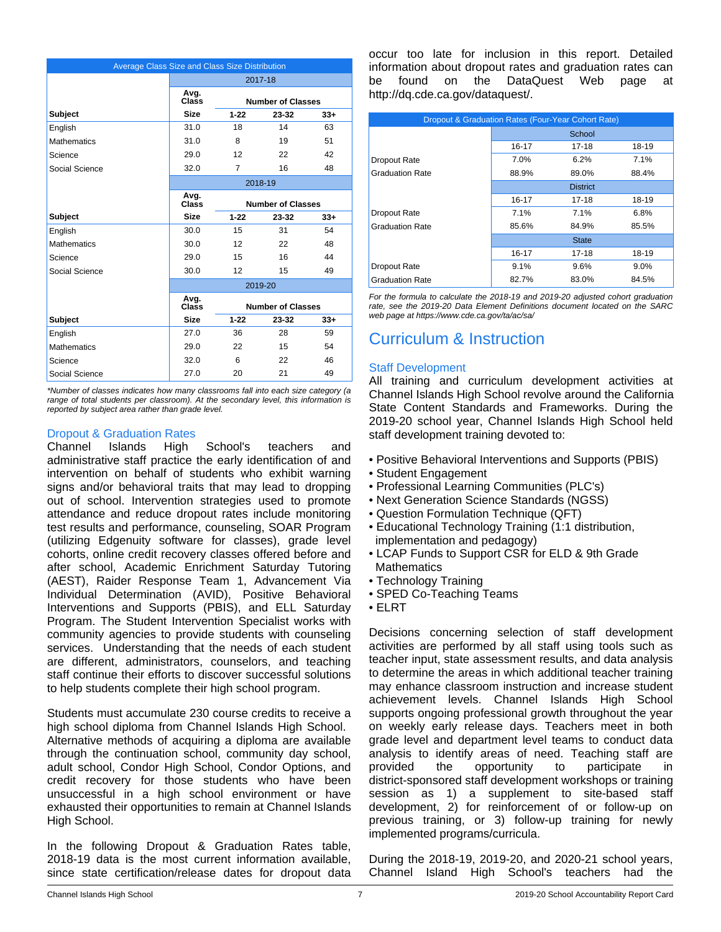| Average Class Size and Class Size Distribution |               |                          |                          |       |  |  |
|------------------------------------------------|---------------|--------------------------|--------------------------|-------|--|--|
|                                                |               |                          | 2017-18                  |       |  |  |
|                                                | Avg.<br>Class | <b>Number of Classes</b> |                          |       |  |  |
| <b>Subject</b>                                 | <b>Size</b>   | $1 - 22$                 | $23 - 32$                | $33+$ |  |  |
| English                                        | 31.0          | 18                       | 14                       | 63    |  |  |
| <b>Mathematics</b>                             | 31.0          | 8                        | 19                       | 51    |  |  |
| Science                                        | 29.0          | 12                       | 22                       | 42    |  |  |
| Social Science                                 | 32.0          | 7                        | 16                       | 48    |  |  |
|                                                |               | 2018-19                  |                          |       |  |  |
|                                                | Avg.<br>Class |                          | <b>Number of Classes</b> |       |  |  |
| <b>Subject</b>                                 | <b>Size</b>   | $1 - 22$                 | 23-32                    | $33+$ |  |  |
| English                                        | 30.0          | 15                       | 31                       | 54    |  |  |
| <b>Mathematics</b>                             | 30.0          | 12                       | 22                       | 48    |  |  |
| Science                                        | 29.0          | 15                       | 16                       | 44    |  |  |
| Social Science                                 | 30.0          | 12                       | 15                       | 49    |  |  |
|                                                |               |                          | 2019-20                  |       |  |  |
|                                                | Avg.<br>Class |                          | <b>Number of Classes</b> |       |  |  |
| <b>Subject</b>                                 | <b>Size</b>   | $1 - 22$                 | $23 - 32$                | $33+$ |  |  |
| English                                        | 27.0          | 36                       | 28                       | 59    |  |  |
| <b>Mathematics</b>                             | 29.0          | 22                       | 15                       | 54    |  |  |
| Science                                        | 32.0          | 6                        | 22                       | 46    |  |  |
| Social Science                                 | 27.0          | 20                       | 21                       | 49    |  |  |

*\*Number of classes indicates how many classrooms fall into each size category (a range of total students per classroom). At the secondary level, this information is reported by subject area rather than grade level.*

# Dropout & Graduation Rates

Channel Islands High School's teachers and administrative staff practice the early identification of and intervention on behalf of students who exhibit warning signs and/or behavioral traits that may lead to dropping out of school. Intervention strategies used to promote attendance and reduce dropout rates include monitoring test results and performance, counseling, SOAR Program (utilizing Edgenuity software for classes), grade level cohorts, online credit recovery classes offered before and after school, Academic Enrichment Saturday Tutoring (AEST), Raider Response Team 1, Advancement Via Individual Determination (AVID), Positive Behavioral Interventions and Supports (PBIS), and ELL Saturday Program. The Student Intervention Specialist works with community agencies to provide students with counseling services. Understanding that the needs of each student are different, administrators, counselors, and teaching staff continue their efforts to discover successful solutions to help students complete their high school program.

Students must accumulate 230 course credits to receive a high school diploma from Channel Islands High School. Alternative methods of acquiring a diploma are available through the continuation school, community day school, adult school, Condor High School, Condor Options, and credit recovery for those students who have been unsuccessful in a high school environment or have exhausted their opportunities to remain at Channel Islands High School.

In the following Dropout & Graduation Rates table, 2018-19 data is the most current information available, since state certification/release dates for dropout data occur too late for inclusion in this report. Detailed information about dropout rates and graduation rates can be found on the DataQuest Web page at http://dq.cde.ca.gov/dataquest/.

| Dropout & Graduation Rates (Four-Year Cohort Rate) |                 |              |         |  |  |
|----------------------------------------------------|-----------------|--------------|---------|--|--|
|                                                    | School          |              |         |  |  |
|                                                    | 16-17           | 17-18        | 18-19   |  |  |
| Dropout Rate                                       | 7.0%            | 6.2%         | 7.1%    |  |  |
| <b>Graduation Rate</b>                             | 88.9%           | 89.0%        | 88.4%   |  |  |
|                                                    | <b>District</b> |              |         |  |  |
|                                                    | 16-17           | 17-18        | 18-19   |  |  |
| Dropout Rate                                       | 7.1%            | 7.1%         | 6.8%    |  |  |
| <b>Graduation Rate</b>                             | 85.6%           | 84.9%        | 85.5%   |  |  |
|                                                    |                 | <b>State</b> |         |  |  |
|                                                    | 16-17           | $17 - 18$    | 18-19   |  |  |
| Dropout Rate                                       | 9.1%            | 9.6%         | $9.0\%$ |  |  |
| <b>Graduation Rate</b>                             | 82.7%           | 83.0%        | 84.5%   |  |  |

*For the formula to calculate the 2018-19 and 2019-20 adjusted cohort graduation rate, see the 2019-20 Data Element Definitions document located on the SARC web page at https://www.cde.ca.gov/ta/ac/sa/*

# Curriculum & Instruction

# Staff Development

All training and curriculum development activities at Channel Islands High School revolve around the California State Content Standards and Frameworks. During the 2019-20 school year, Channel Islands High School held staff development training devoted to:

- Positive Behavioral Interventions and Supports (PBIS)
- Student Engagement
- Professional Learning Communities (PLC's)
- Next Generation Science Standards (NGSS)
- Question Formulation Technique (QFT)
- Educational Technology Training (1:1 distribution, implementation and pedagogy)
- LCAP Funds to Support CSR for ELD & 9th Grade **Mathematics**
- Technology Training
- SPED Co-Teaching Teams
- ELRT

Decisions concerning selection of staff development activities are performed by all staff using tools such as teacher input, state assessment results, and data analysis to determine the areas in which additional teacher training may enhance classroom instruction and increase student achievement levels. Channel Islands High School supports ongoing professional growth throughout the year on weekly early release days. Teachers meet in both grade level and department level teams to conduct data analysis to identify areas of need. Teaching staff are provided the opportunity to participate in district-sponsored staff development workshops or training session as 1) a supplement to site-based staff development, 2) for reinforcement of or follow-up on previous training, or 3) follow-up training for newly implemented programs/curricula.

During the 2018-19, 2019-20, and 2020-21 school years, Channel Island High School's teachers had the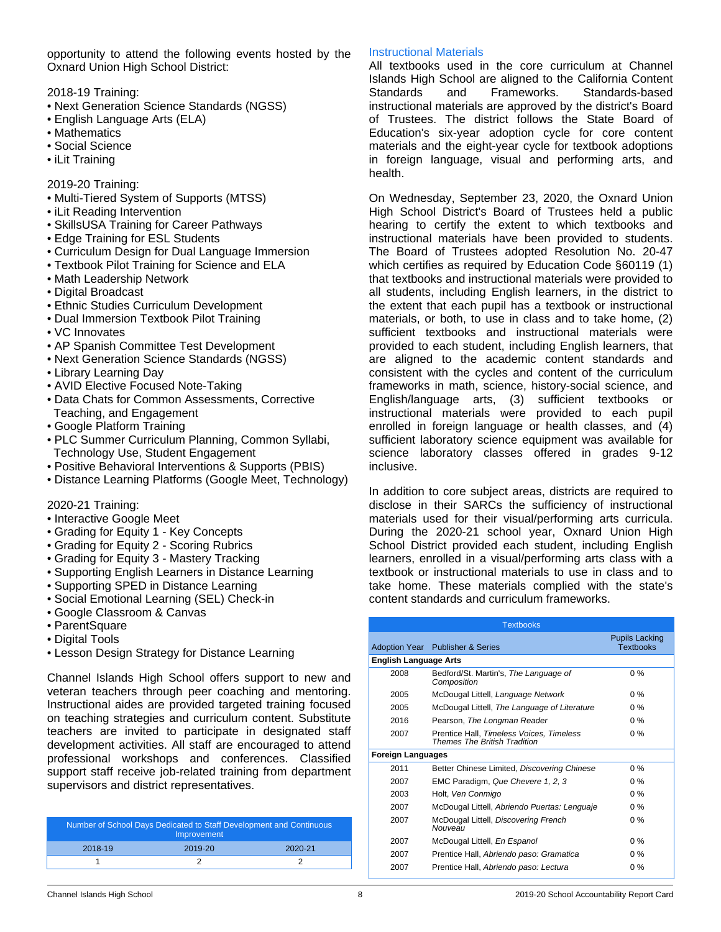opportunity to attend the following events hosted by the Oxnard Union High School District:

2018-19 Training:

- Next Generation Science Standards (NGSS)
- English Language Arts (ELA)
- Mathematics
- Social Science
- iLit Training

2019-20 Training:

- Multi-Tiered System of Supports (MTSS)
- iLit Reading Intervention
- SkillsUSA Training for Career Pathways
- Edge Training for ESL Students
- Curriculum Design for Dual Language Immersion
- Textbook Pilot Training for Science and ELA
- Math Leadership Network
- Digital Broadcast
- Ethnic Studies Curriculum Development
- Dual Immersion Textbook Pilot Training
- VC Innovates
- AP Spanish Committee Test Development
- Next Generation Science Standards (NGSS)
- Library Learning Day
- AVID Elective Focused Note-Taking
- Data Chats for Common Assessments, Corrective Teaching, and Engagement
- Google Platform Training
- PLC Summer Curriculum Planning, Common Syllabi, Technology Use, Student Engagement
- Positive Behavioral Interventions & Supports (PBIS)
- Distance Learning Platforms (Google Meet, Technology)

2020-21 Training:

- Interactive Google Meet
- Grading for Equity 1 Key Concepts
- Grading for Equity 2 Scoring Rubrics
- Grading for Equity 3 Mastery Tracking
- Supporting English Learners in Distance Learning
- Supporting SPED in Distance Learning
- Social Emotional Learning (SEL) Check-in
- Google Classroom & Canvas
- ParentSquare
- Digital Tools
- Lesson Design Strategy for Distance Learning

Channel Islands High School offers support to new and veteran teachers through peer coaching and mentoring. Instructional aides are provided targeted training focused on teaching strategies and curriculum content. Substitute teachers are invited to participate in designated staff development activities. All staff are encouraged to attend professional workshops and conferences. Classified support staff receive job-related training from department supervisors and district representatives.

| Number of School Days Dedicated to Staff Development and Continuous<br>Improvement |             |             |  |  |
|------------------------------------------------------------------------------------|-------------|-------------|--|--|
| 2018-19                                                                            | $2019 - 20$ | $2020 - 21$ |  |  |
|                                                                                    |             |             |  |  |

# Instructional Materials

All textbooks used in the core curriculum at Channel Islands High School are aligned to the California Content<br>Standards and Frameworks. Standards-based Standards and Frameworks. Standards-based instructional materials are approved by the district's Board of Trustees. The district follows the State Board of Education's six-year adoption cycle for core content materials and the eight-year cycle for textbook adoptions in foreign language, visual and performing arts, and health.

On Wednesday, September 23, 2020, the Oxnard Union High School District's Board of Trustees held a public hearing to certify the extent to which textbooks and instructional materials have been provided to students. The Board of Trustees adopted Resolution No. 20-47 which certifies as required by Education Code §60119 (1) that textbooks and instructional materials were provided to all students, including English learners, in the district to the extent that each pupil has a textbook or instructional materials, or both, to use in class and to take home, (2) sufficient textbooks and instructional materials were provided to each student, including English learners, that are aligned to the academic content standards and consistent with the cycles and content of the curriculum frameworks in math, science, history-social science, and English/language arts, (3) sufficient textbooks or instructional materials were provided to each pupil enrolled in foreign language or health classes, and (4) sufficient laboratory science equipment was available for science laboratory classes offered in grades 9-12 inclusive.

In addition to core subject areas, districts are required to disclose in their SARCs the sufficiency of instructional materials used for their visual/performing arts curricula. During the 2020-21 school year, Oxnard Union High School District provided each student, including English learners, enrolled in a visual/performing arts class with a textbook or instructional materials to use in class and to take home. These materials complied with the state's content standards and curriculum frameworks.

| <b>Textbooks</b>             |                                                                                 |                                           |  |  |
|------------------------------|---------------------------------------------------------------------------------|-------------------------------------------|--|--|
|                              | Adoption Year Publisher & Series                                                | <b>Pupils Lacking</b><br><b>Textbooks</b> |  |  |
| <b>English Language Arts</b> |                                                                                 |                                           |  |  |
| 2008                         | Bedford/St. Martin's, The Language of<br>Composition                            | $0\%$                                     |  |  |
| 2005                         | McDougal Littell, Language Network                                              | $0\%$                                     |  |  |
| 2005                         | McDougal Littell, The Language of Literature                                    | $0\%$                                     |  |  |
| 2016                         | Pearson, The Longman Reader                                                     | $0\%$                                     |  |  |
| 2007                         | Prentice Hall, Timeless Voices, Timeless<br><b>Themes The British Tradition</b> | $0\%$                                     |  |  |
| <b>Foreign Languages</b>     |                                                                                 |                                           |  |  |
| 2011                         | Better Chinese Limited, Discovering Chinese                                     | $0\%$                                     |  |  |
| 2007                         | EMC Paradigm, Que Chevere 1, 2, 3                                               | $0\%$                                     |  |  |
| 2003                         | Holt, Ven Conmigo                                                               | $0\%$                                     |  |  |
| 2007                         | McDougal Littell, Abriendo Puertas: Lenguaje                                    | $0\%$                                     |  |  |
| 2007                         | McDougal Littell, Discovering French<br>Nouveau                                 | $0\%$                                     |  |  |
| 2007                         | McDougal Littell, En Espanol                                                    | $0\%$                                     |  |  |
| 2007                         | Prentice Hall, Abriendo paso: Gramatica                                         | 0%                                        |  |  |
| 2007                         | Prentice Hall, Abriendo paso: Lectura                                           | $0\%$                                     |  |  |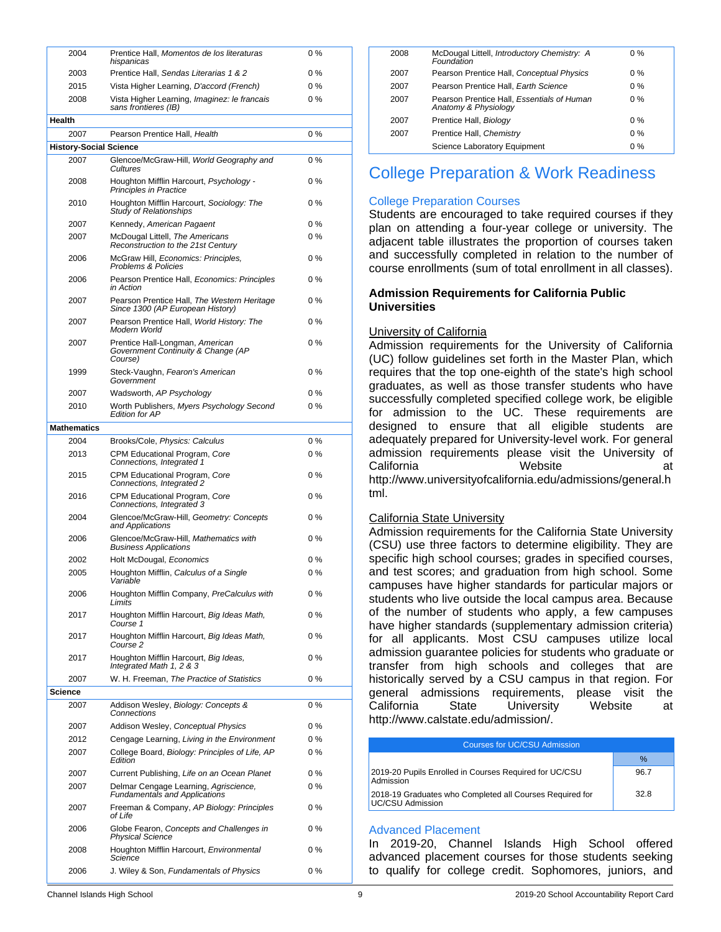| 2004                          | Prentice Hall, Momentos de los literaturas<br>hispanicas                         | $0\%$ |
|-------------------------------|----------------------------------------------------------------------------------|-------|
| 2003                          | Prentice Hall, Sendas Literarias 1 & 2                                           | 0%    |
| 2015                          | Vista Higher Learning, D'accord (French)                                         | 0 %   |
| 2008                          | Vista Higher Learning, Imaginez: le francais                                     | $0\%$ |
|                               | sans frontieres (IB)                                                             |       |
| Health                        |                                                                                  |       |
| 2007                          | Pearson Prentice Hall, Health                                                    | $0\%$ |
| <b>History-Social Science</b> |                                                                                  |       |
| 2007                          | Glencoe/McGraw-Hill, World Geography and<br>Cultures                             | 0%    |
| 2008                          | Houghton Mifflin Harcourt, Psychology -<br>Principles in Practice                | 0 %   |
| 2010                          | Houghton Mifflin Harcourt, Sociology: The<br><b>Study of Relationships</b>       | $0\%$ |
| 2007                          | Kennedy, American Pagaent                                                        | 0 %   |
| 2007                          | McDougal Littell, The Americans<br>Reconstruction to the 21st Century            | 0 %   |
| 2006                          | McGraw Hill, Economics: Principles,<br><b>Problems &amp; Policies</b>            | 0 %   |
| 2006                          | Pearson Prentice Hall, Economics: Principles<br>in Action                        | 0 %   |
| 2007                          | Pearson Prentice Hall, The Western Heritage<br>Since 1300 (AP European History)  | 0 %   |
| 2007                          | Pearson Prentice Hall, World History: The<br>Modern World                        | 0 %   |
| 2007                          | Prentice Hall-Longman, American<br>Government Continuity & Change (AP<br>Course) | $0\%$ |
| 1999                          | Steck-Vaughn, Fearon's American<br>Government                                    | $0\%$ |
| 2007                          | Wadsworth, AP Psychology                                                         | 0 %   |
| 2010                          | Worth Publishers, Myers Psychology Second<br><b>Edition for AP</b>               | 0%    |
| <b>Mathematics</b>            |                                                                                  |       |
| 2004                          | Brooks/Cole, Physics: Calculus                                                   | 0%    |
| 2013                          | CPM Educational Program, Core<br>Connections, Integrated 1                       | 0%    |
| 2015                          | CPM Educational Program, Core<br>Connections, Integrated 2                       | $0\%$ |
| 2016                          | CPM Educational Program, Core<br>Connections, Integrated 3                       | 0 %   |
| 2004                          | Glencoe/McGraw-Hill, Geometry: Concepts<br>and Applications                      | 0 %   |
| 2006                          | Glencoe/McGraw-Hill, Mathematics with<br><b>Business Applications</b>            | 0 %   |
| 2002                          | Holt McDougal, Economics                                                         | 0%    |
| 2005                          | Houghton Mifflin, Calculus of a Single<br>Variable                               | 0%    |
| 2006                          | Houghton Mifflin Company, PreCalculus with<br>Limits                             | 0%    |
| 2017                          | Houghton Mifflin Harcourt, Big Ideas Math,<br>Course 1                           | 0%    |
| 2017                          | Houghton Mifflin Harcourt, Big Ideas Math,<br>Course 2                           | 0%    |
| 2017                          | Houghton Mifflin Harcourt, Big Ideas,<br>Integrated Math 1, 2 & 3                | 0%    |
| 2007                          | W. H. Freeman, The Practice of Statistics                                        | 0%    |
| Science                       |                                                                                  |       |
| 2007                          | Addison Wesley, Biology: Concepts &<br>Connections                               | 0%    |
| 2007                          | Addison Wesley, Conceptual Physics                                               | 0%    |
| 2012                          | Cengage Learning, Living in the Environment                                      | $0\%$ |
| 2007                          | College Board, Biology: Principles of Life, AP<br>Edition                        | 0 %   |
| 2007                          | Current Publishing, Life on an Ocean Planet                                      | 0 %   |
| 2007                          | Delmar Cengage Learning, Agriscience,<br><b>Fundamentals and Applications</b>    | 0%    |
| 2007                          | Freeman & Company, AP Biology: Principles<br>of Life                             | 0%    |
| 2006                          | Globe Fearon, Concepts and Challenges in<br>Physical Science                     | 0%    |
| 2008                          | Houghton Mifflin Harcourt, Environmental<br>Science                              | 0%    |
| 2006                          | J. Wiley & Son, Fundamentals of Physics                                          | 0%    |

| 2008 | McDougal Littell, Introductory Chemistry: A<br>Foundation          | $0\%$ |  |
|------|--------------------------------------------------------------------|-------|--|
| 2007 | Pearson Prentice Hall, Conceptual Physics                          | $0\%$ |  |
| 2007 | Pearson Prentice Hall, Earth Science                               | $0\%$ |  |
| 2007 | Pearson Prentice Hall, Essentials of Human<br>Anatomy & Physiology | $0\%$ |  |
| 2007 | Prentice Hall, Biology                                             | $0\%$ |  |
| 2007 | Prentice Hall, Chemistry                                           | $0\%$ |  |
|      | Science Laboratory Equipment                                       | $0\%$ |  |
|      |                                                                    |       |  |

# College Preparation & Work Readiness

## College Preparation Courses

Students are encouraged to take required courses if they plan on attending a four-year college or university. The adjacent table illustrates the proportion of courses taken and successfully completed in relation to the number of course enrollments (sum of total enrollment in all classes).

### **Admission Requirements for California Public Universities**

## University of California

Admission requirements for the University of California (UC) follow guidelines set forth in the Master Plan, which requires that the top one-eighth of the state's high school graduates, as well as those transfer students who have successfully completed specified college work, be eligible for admission to the UC. These requirements are designed to ensure that all eligible students are adequately prepared for University-level work. For general admission requirements please visit the University of California **Website** at http://www.universityofcalifornia.edu/admissions/general.h tml.

### California State University

Admission requirements for the California State University (CSU) use three factors to determine eligibility. They are specific high school courses; grades in specified courses, and test scores; and graduation from high school. Some campuses have higher standards for particular majors or students who live outside the local campus area. Because of the number of students who apply, a few campuses have higher standards (supplementary admission criteria) for all applicants. Most CSU campuses utilize local admission guarantee policies for students who graduate or transfer from high schools and colleges that are historically served by a CSU campus in that region. For general admissions requirements, please visit the California State University Website at http://www.calstate.edu/admission/.

#### Courses for UC/CSU Admission  $\%$ 2019-20 Pupils Enrolled in Courses Required for UC/CSU Admission 96.7 2018-19 Graduates who Completed all Courses Required for UC/CSU Admission 32.8

### Advanced Placement

In 2019-20, Channel Islands High School offered advanced placement courses for those students seeking to qualify for college credit. Sophomores, juniors, and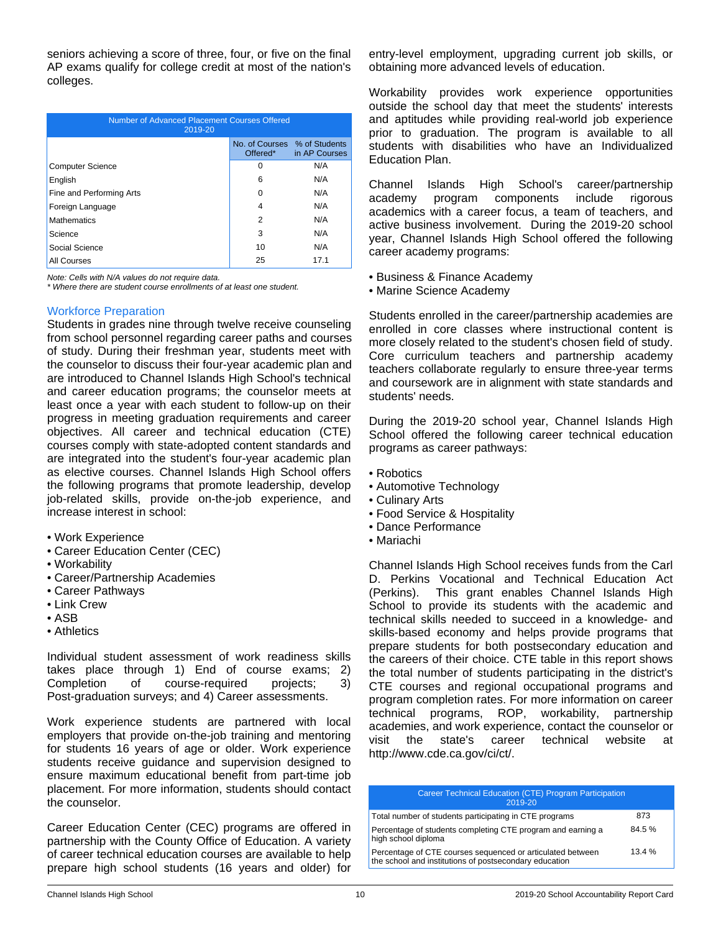seniors achieving a score of three, four, or five on the final AP exams qualify for college credit at most of the nation's colleges.

| Number of Advanced Placement Courses Offered<br>2019-20   |    |     |  |  |  |
|-----------------------------------------------------------|----|-----|--|--|--|
| No. of Courses % of Students<br>Offered*<br>in AP Courses |    |     |  |  |  |
| <b>Computer Science</b>                                   | 0  | N/A |  |  |  |
| English                                                   | 6  | N/A |  |  |  |
| Fine and Performing Arts                                  | 0  | N/A |  |  |  |
| Foreign Language                                          | 4  | N/A |  |  |  |
| <b>Mathematics</b>                                        | 2  | N/A |  |  |  |
| Science                                                   | 3  | N/A |  |  |  |
| Social Science                                            | 10 | N/A |  |  |  |
| 25<br>17.1<br>All Courses                                 |    |     |  |  |  |

*Note: Cells with N/A values do not require data.*

*\* Where there are student course enrollments of at least one student.*

## Workforce Preparation

Students in grades nine through twelve receive counseling from school personnel regarding career paths and courses of study. During their freshman year, students meet with the counselor to discuss their four-year academic plan and are introduced to Channel Islands High School's technical and career education programs; the counselor meets at least once a year with each student to follow-up on their progress in meeting graduation requirements and career objectives. All career and technical education (CTE) courses comply with state-adopted content standards and are integrated into the student's four-year academic plan as elective courses. Channel Islands High School offers the following programs that promote leadership, develop job-related skills, provide on-the-job experience, and increase interest in school:

- Work Experience
- Career Education Center (CEC)
- Workability
- Career/Partnership Academies
- Career Pathways
- Link Crew
- ASB
- Athletics

Individual student assessment of work readiness skills takes place through 1) End of course exams; 2) Completion of course-required projects; 3) Post-graduation surveys; and 4) Career assessments.

Work experience students are partnered with local employers that provide on-the-job training and mentoring for students 16 years of age or older. Work experience students receive guidance and supervision designed to ensure maximum educational benefit from part-time job placement. For more information, students should contact the counselor.

Career Education Center (CEC) programs are offered in partnership with the County Office of Education. A variety of career technical education courses are available to help prepare high school students (16 years and older) for entry-level employment, upgrading current job skills, or obtaining more advanced levels of education.

Workability provides work experience opportunities outside the school day that meet the students' interests and aptitudes while providing real-world job experience prior to graduation. The program is available to all students with disabilities who have an Individualized Education Plan.

Channel Islands High School's career/partnership academy program components include rigorous academics with a career focus, a team of teachers, and active business involvement. During the 2019-20 school year, Channel Islands High School offered the following career academy programs:

- Business & Finance Academy
- Marine Science Academy

Students enrolled in the career/partnership academies are enrolled in core classes where instructional content is more closely related to the student's chosen field of study. Core curriculum teachers and partnership academy teachers collaborate regularly to ensure three-year terms and coursework are in alignment with state standards and students' needs.

During the 2019-20 school year, Channel Islands High School offered the following career technical education programs as career pathways:

- Robotics
- Automotive Technology
- Culinary Arts
- Food Service & Hospitality
- Dance Performance
- Mariachi

Channel Islands High School receives funds from the Carl D. Perkins Vocational and Technical Education Act (Perkins). This grant enables Channel Islands High School to provide its students with the academic and technical skills needed to succeed in a knowledge- and skills-based economy and helps provide programs that prepare students for both postsecondary education and the careers of their choice. CTE table in this report shows the total number of students participating in the district's CTE courses and regional occupational programs and program completion rates. For more information on career technical programs, ROP, workability, partnership academies, and work experience, contact the counselor or visit the state's career technical website at http://www.cde.ca.gov/ci/ct/.

| Career Technical Education (CTE) Program Participation<br>2019-20                                                    |       |
|----------------------------------------------------------------------------------------------------------------------|-------|
| Total number of students participating in CTE programs                                                               | 873   |
| Percentage of students completing CTE program and earning a<br>high school diploma                                   | 84.5% |
| Percentage of CTE courses sequenced or articulated between<br>the school and institutions of postsecondary education | 13.4% |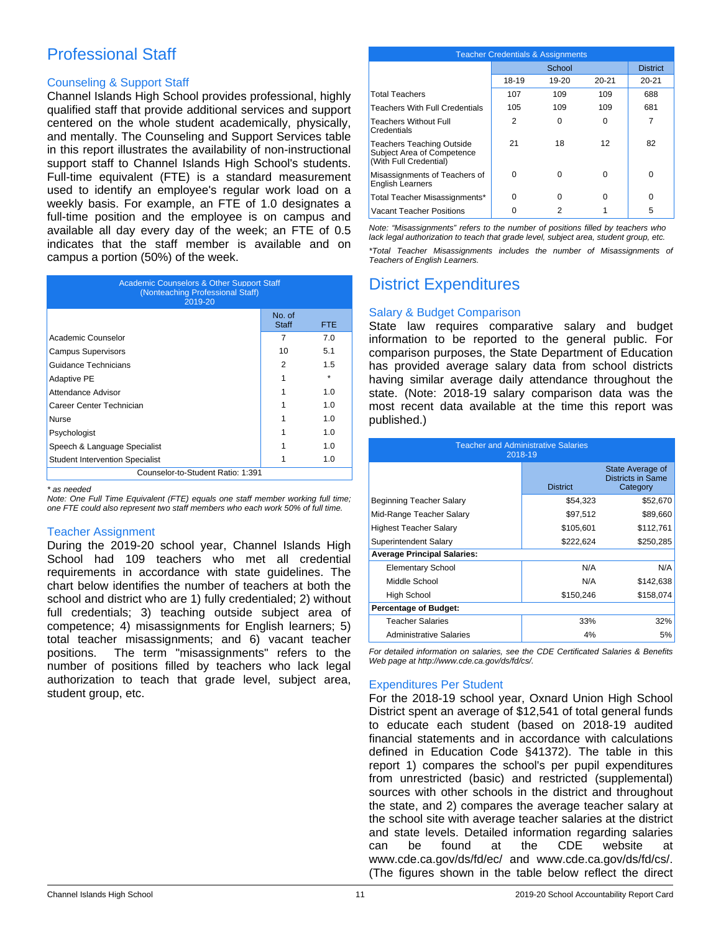# Professional Staff

## Counseling & Support Staff

Channel Islands High School provides professional, highly qualified staff that provide additional services and support centered on the whole student academically, physically, and mentally. The Counseling and Support Services table in this report illustrates the availability of non-instructional support staff to Channel Islands High School's students. Full-time equivalent (FTE) is a standard measurement used to identify an employee's regular work load on a weekly basis. For example, an FTE of 1.0 designates a full-time position and the employee is on campus and available all day every day of the week; an FTE of 0.5 indicates that the staff member is available and on campus a portion (50%) of the week.

| <b>Academic Counselors &amp; Other Support Staff</b><br>(Nonteaching Professional Staff)<br>2019-20 |                        |      |  |  |
|-----------------------------------------------------------------------------------------------------|------------------------|------|--|--|
|                                                                                                     | No. of<br><b>Staff</b> | FTE. |  |  |
| Academic Counselor                                                                                  | 7                      | 7.0  |  |  |
| <b>Campus Supervisors</b>                                                                           | 10                     | 5.1  |  |  |
| Guidance Technicians                                                                                | 2                      | 1.5  |  |  |
| <b>Adaptive PE</b>                                                                                  |                        |      |  |  |
| Attendance Advisor                                                                                  |                        | 1.0  |  |  |
| Career Center Technician                                                                            |                        | 1.0  |  |  |
| Nurse                                                                                               |                        | 1.0  |  |  |
| Psychologist                                                                                        |                        | 1.0  |  |  |
| Speech & Language Specialist                                                                        |                        | 1.0  |  |  |
| <b>Student Intervention Specialist</b>                                                              |                        | 1.0  |  |  |
| Counselor-to-Student Ratio: 1:391                                                                   |                        |      |  |  |

*\* as needed*

*Note: One Full Time Equivalent (FTE) equals one staff member working full time; one FTE could also represent two staff members who each work 50% of full time.*

### Teacher Assignment

During the 2019-20 school year, Channel Islands High School had 109 teachers who met all credential requirements in accordance with state guidelines. The chart below identifies the number of teachers at both the school and district who are 1) fully credentialed; 2) without full credentials; 3) teaching outside subject area of competence; 4) misassignments for English learners; 5) total teacher misassignments; and 6) vacant teacher positions. The term "misassignments" refers to the number of positions filled by teachers who lack legal authorization to teach that grade level, subject area, student group, etc.

| <b>Teacher Credentials &amp; Assignments</b>                                             |       |        |           |           |  |
|------------------------------------------------------------------------------------------|-------|--------|-----------|-----------|--|
|                                                                                          |       | School |           |           |  |
|                                                                                          | 18-19 | 19-20  | $20 - 21$ | $20 - 21$ |  |
| <b>Total Teachers</b>                                                                    | 107   | 109    | 109       | 688       |  |
| <b>Teachers With Full Credentials</b>                                                    | 105   | 109    | 109       | 681       |  |
| Teachers Without Full<br>Credentials                                                     | 2     | 0      | 0         | 7         |  |
| <b>Teachers Teaching Outside</b><br>Subject Area of Competence<br>(With Full Credential) | 21    | 18     | 12        | 82        |  |
| Misassignments of Teachers of<br><b>English Learners</b>                                 | U     | 0      | 0         | $\Omega$  |  |
| Total Teacher Misassignments*                                                            | 0     | O      | 0         | O         |  |
| Vacant Teacher Positions                                                                 |       | 2      |           | 5         |  |

*Note: "Misassignments" refers to the number of positions filled by teachers who lack legal authorization to teach that grade level, subject area, student group, etc.*

*\*Total Teacher Misassignments includes the number of Misassignments of Teachers of English Learners.*

# District Expenditures

## Salary & Budget Comparison

State law requires comparative salary and budget information to be reported to the general public. For comparison purposes, the State Department of Education has provided average salary data from school districts having similar average daily attendance throughout the state. (Note: 2018-19 salary comparison data was the most recent data available at the time this report was published.)

| <b>Teacher and Administrative Salaries</b><br>2018-19 |                 |                                                          |  |  |  |
|-------------------------------------------------------|-----------------|----------------------------------------------------------|--|--|--|
|                                                       | <b>District</b> | State Average of<br><b>Districts in Same</b><br>Category |  |  |  |
| Beginning Teacher Salary                              | \$54,323        | \$52,670                                                 |  |  |  |
| Mid-Range Teacher Salary                              | \$97,512        | \$89,660                                                 |  |  |  |
| <b>Highest Teacher Salary</b>                         | \$105,601       | \$112,761                                                |  |  |  |
| Superintendent Salary                                 | \$222,624       | \$250,285                                                |  |  |  |
| <b>Average Principal Salaries:</b>                    |                 |                                                          |  |  |  |
| <b>Elementary School</b>                              | N/A             | N/A                                                      |  |  |  |
| Middle School                                         | N/A             | \$142,638                                                |  |  |  |
| High School                                           | \$150,246       | \$158,074                                                |  |  |  |
| <b>Percentage of Budget:</b>                          |                 |                                                          |  |  |  |
| Teacher Salaries                                      | 33%             | 32%                                                      |  |  |  |
| <b>Administrative Salaries</b>                        | 4%              | 5%                                                       |  |  |  |

*For detailed information on salaries, see the CDE Certificated Salaries & Benefits Web page at http://www.cde.ca.gov/ds/fd/cs/.*

# Expenditures Per Student

For the 2018-19 school year, Oxnard Union High School District spent an average of \$12,541 of total general funds to educate each student (based on 2018-19 audited financial statements and in accordance with calculations defined in Education Code §41372). The table in this report 1) compares the school's per pupil expenditures from unrestricted (basic) and restricted (supplemental) sources with other schools in the district and throughout the state, and 2) compares the average teacher salary at the school site with average teacher salaries at the district and state levels. Detailed information regarding salaries can be found at the CDE website at www.cde.ca.gov/ds/fd/ec/ and www.cde.ca.gov/ds/fd/cs/. (The figures shown in the table below reflect the direct